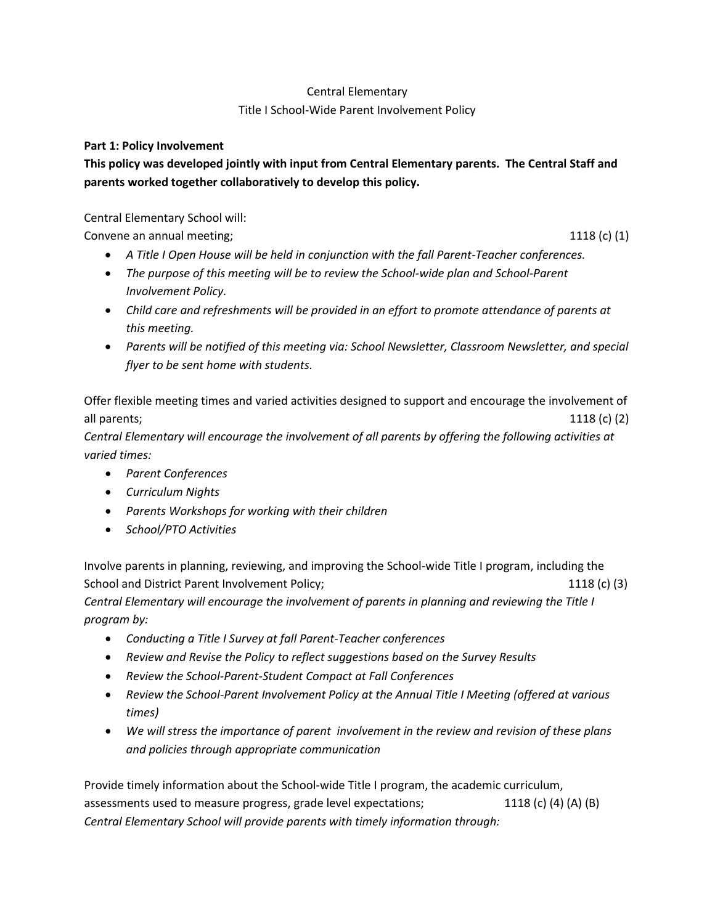# Central Elementary

## Title I School-Wide Parent Involvement Policy

#### **Part 1: Policy Involvement**

# **This policy was developed jointly with input from Central Elementary parents. The Central Staff and parents worked together collaboratively to develop this policy.**

#### Central Elementary School will:

Convene an annual meeting; 1118 (c) (1) 1118 (c) (1)

- *A Title I Open House will be held in conjunction with the fall Parent-Teacher conferences.*
- *The purpose of this meeting will be to review the School-wide plan and School-Parent Involvement Policy.*
- *Child care and refreshments will be provided in an effort to promote attendance of parents at this meeting.*
- *Parents will be notified of this meeting via: School Newsletter, Classroom Newsletter, and special flyer to be sent home with students.*

Offer flexible meeting times and varied activities designed to support and encourage the involvement of all parents; 1118 (c) (2)

*Central Elementary will encourage the involvement of all parents by offering the following activities at varied times:*

- *Parent Conferences*
- *Curriculum Nights*
- *Parents Workshops for working with their children*
- *School/PTO Activities*

Involve parents in planning, reviewing, and improving the School-wide Title I program, including the School and District Parent Involvement Policy; 1118 (c) (3) *Central Elementary will encourage the involvement of parents in planning and reviewing the Title I program by:*

- *Conducting a Title I Survey at fall Parent-Teacher conferences*
- *Review and Revise the Policy to reflect suggestions based on the Survey Results*
- *Review the School-Parent-Student Compact at Fall Conferences*
- *Review the School-Parent Involvement Policy at the Annual Title I Meeting (offered at various times)*
- *We will stress the importance of parent involvement in the review and revision of these plans and policies through appropriate communication*

Provide timely information about the School-wide Title I program, the academic curriculum, assessments used to measure progress, grade level expectations; 1118 (c) (4) (A) (B) *Central Elementary School will provide parents with timely information through:*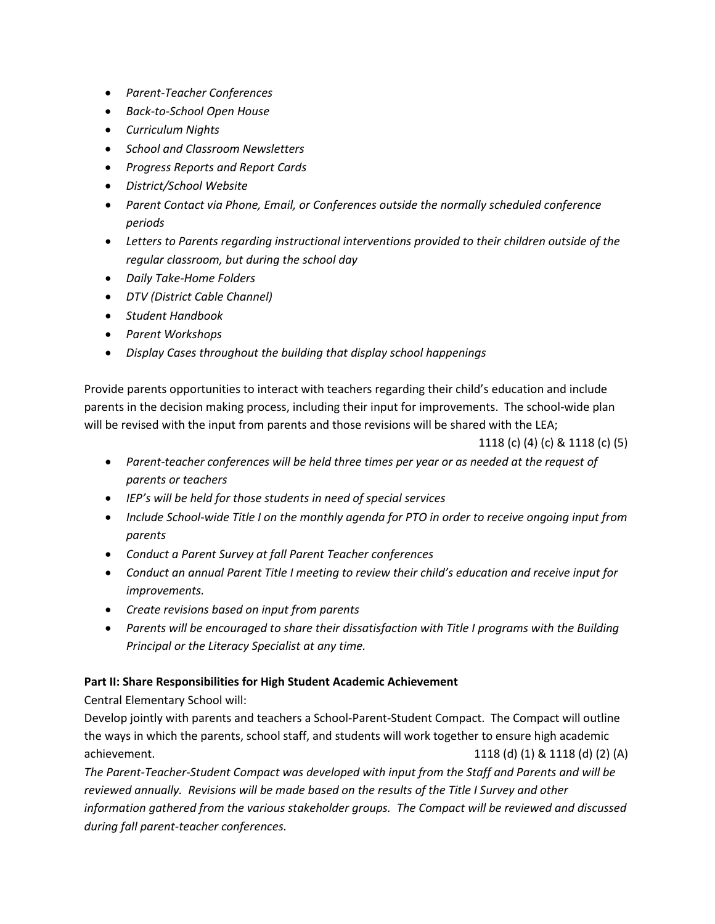- *Parent-Teacher Conferences*
- *Back-to-School Open House*
- *Curriculum Nights*
- *School and Classroom Newsletters*
- *Progress Reports and Report Cards*
- *District/School Website*
- *Parent Contact via Phone, Email, or Conferences outside the normally scheduled conference periods*
- *Letters to Parents regarding instructional interventions provided to their children outside of the regular classroom, but during the school day*
- *Daily Take-Home Folders*
- *DTV (District Cable Channel)*
- *Student Handbook*
- *Parent Workshops*
- *Display Cases throughout the building that display school happenings*

Provide parents opportunities to interact with teachers regarding their child's education and include parents in the decision making process, including their input for improvements. The school-wide plan will be revised with the input from parents and those revisions will be shared with the LEA;

1118 (c) (4) (c) & 1118 (c) (5)

- *Parent-teacher conferences will be held three times per year or as needed at the request of parents or teachers*
- *IEP's will be held for those students in need of special services*
- *Include School-wide Title I on the monthly agenda for PTO in order to receive ongoing input from parents*
- *Conduct a Parent Survey at fall Parent Teacher conferences*
- *Conduct an annual Parent Title I meeting to review their child's education and receive input for improvements.*
- *Create revisions based on input from parents*
- *Parents will be encouraged to share their dissatisfaction with Title I programs with the Building Principal or the Literacy Specialist at any time.*

# **Part II: Share Responsibilities for High Student Academic Achievement**

Central Elementary School will:

Develop jointly with parents and teachers a School-Parent-Student Compact. The Compact will outline the ways in which the parents, school staff, and students will work together to ensure high academic achievement. 1118 (d) (1) & 1118 (d) (2) (A)

*The Parent-Teacher-Student Compact was developed with input from the Staff and Parents and will be reviewed annually. Revisions will be made based on the results of the Title I Survey and other information gathered from the various stakeholder groups. The Compact will be reviewed and discussed during fall parent-teacher conferences.*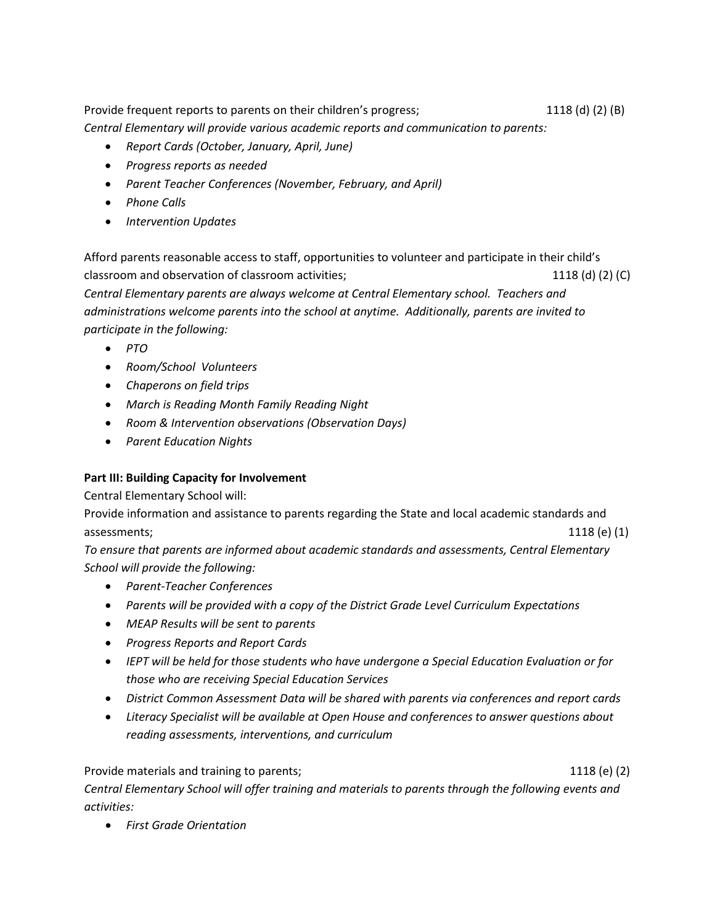Provide frequent reports to parents on their children's progress; 1118 (d) (2) (B) *Central Elementary will provide various academic reports and communication to parents:*

- *Report Cards (October, January, April, June)*
- *Progress reports as needed*
- *Parent Teacher Conferences (November, February, and April)*
- *Phone Calls*
- *Intervention Updates*

Afford parents reasonable access to staff, opportunities to volunteer and participate in their child's classroom and observation of classroom activities; 1118 (d) (2) (C) (C) (C) (C) (C) *Central Elementary parents are always welcome at Central Elementary school. Teachers and administrations welcome parents into the school at anytime. Additionally, parents are invited to participate in the following:*

- *PTO*
- *Room/School Volunteers*
- *Chaperons on field trips*
- *March is Reading Month Family Reading Night*
- *Room & Intervention observations (Observation Days)*
- *Parent Education Nights*

#### **Part III: Building Capacity for Involvement**

Central Elementary School will:

Provide information and assistance to parents regarding the State and local academic standards and assessments; 1118 (e) (1) and 1118 (e) (1) and 1118 (e) (1) and 1118 (e) (1) and 1118 (e) (1)

*To ensure that parents are informed about academic standards and assessments, Central Elementary School will provide the following:*

- *Parent-Teacher Conferences*
- *Parents will be provided with a copy of the District Grade Level Curriculum Expectations*
- *MEAP Results will be sent to parents*
- *Progress Reports and Report Cards*
- *IEPT will be held for those students who have undergone a Special Education Evaluation or for those who are receiving Special Education Services*
- *District Common Assessment Data will be shared with parents via conferences and report cards*
- *Literacy Specialist will be available at Open House and conferences to answer questions about reading assessments, interventions, and curriculum*

Provide materials and training to parents; 1118 (e) (2) 1118 (e) (2) *Central Elementary School will offer training and materials to parents through the following events and activities:*

• *First Grade Orientation*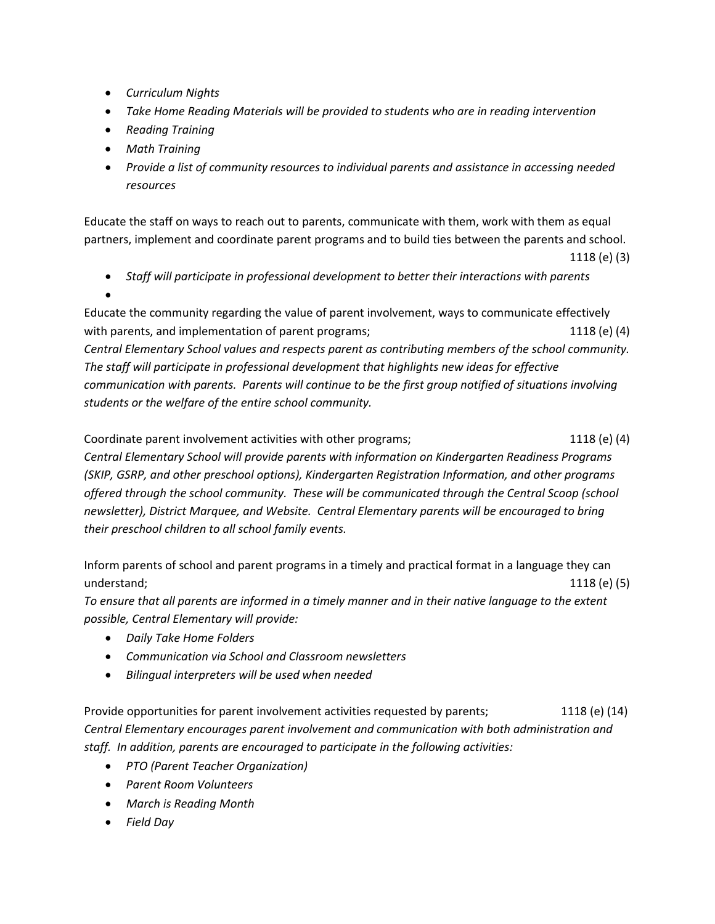- *Curriculum Nights*
- *Take Home Reading Materials will be provided to students who are in reading intervention*
- *Reading Training*
- *Math Training*
- *Provide a list of community resources to individual parents and assistance in accessing needed resources*

Educate the staff on ways to reach out to parents, communicate with them, work with them as equal partners, implement and coordinate parent programs and to build ties between the parents and school.

```
 1118 (e) (3)
```
- *Staff will participate in professional development to better their interactions with parents*
- •

Educate the community regarding the value of parent involvement, ways to communicate effectively with parents, and implementation of parent programs; 1118 (e) (4) 1118 (e) (4) *Central Elementary School values and respects parent as contributing members of the school community. The staff will participate in professional development that highlights new ideas for effective communication with parents. Parents will continue to be the first group notified of situations involving students or the welfare of the entire school community.*

Coordinate parent involvement activities with other programs; 1118 (e) (4) *Central Elementary School will provide parents with information on Kindergarten Readiness Programs (SKIP, GSRP, and other preschool options), Kindergarten Registration Information, and other programs offered through the school community. These will be communicated through the Central Scoop (school newsletter), District Marquee, and Website. Central Elementary parents will be encouraged to bring their preschool children to all school family events.*

Inform parents of school and parent programs in a timely and practical format in a language they can understand; 1118 (e) (5) 1118 (e) (5)

*To ensure that all parents are informed in a timely manner and in their native language to the extent possible, Central Elementary will provide:*

- *Daily Take Home Folders*
- *Communication via School and Classroom newsletters*
- *Bilingual interpreters will be used when needed*

Provide opportunities for parent involvement activities requested by parents; 1118 (e) (14) *Central Elementary encourages parent involvement and communication with both administration and staff. In addition, parents are encouraged to participate in the following activities:*

- *PTO (Parent Teacher Organization)*
- *Parent Room Volunteers*
- *March is Reading Month*
- *Field Day*